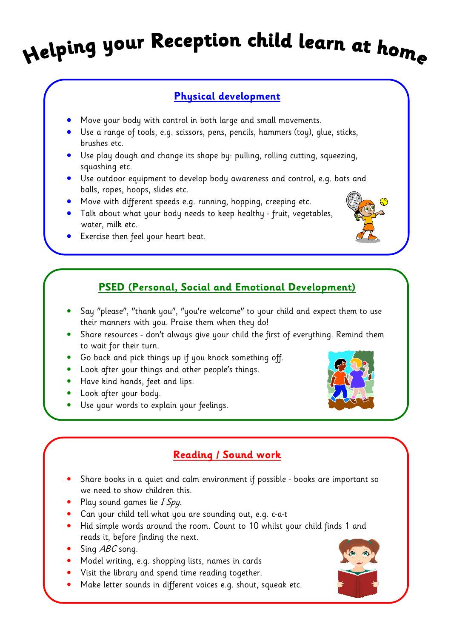# Helping your Reception child learn at home

### Physical development

- Move your body with control in both large and small movements.
- Use a range of tools, e.g. scissors, pens, pencils, hammers (toy), glue, sticks, brushes etc.
- Use play dough and change its shape by: pulling, rolling cutting, squeezing, squashing etc.
- Use outdoor equipment to develop body awareness and control, e.g. bats and balls, ropes, hoops, slides etc.
- Move with different speeds e.g. running, hopping, creeping etc.
- Talk about what your body needs to keep healthy fruit, vegetables, water, milk etc.
- Exercise then feel your heart beat.

## PSED (Personal, Social and Emotional Development)

- Say "please", "thank you", "you're welcome" to your child and expect them to use their manners with you. Praise them when they do!
- Share resources don't always give your child the first of everything. Remind them to wait for their turn.
- Go back and pick things up if you knock something off.
- Look after your things and other people's things.
- Have kind hands, feet and lips.
- Look after your body.
- Use your words to explain your feelings.

### Reading / Sound work

- Share books in a quiet and calm environment if possible books are important so we need to show children this.
- Play sound games lie I Spy.
- Can your child tell what you are sounding out, e.g. c-a-t
- Hid simple words around the room. Count to 10 whilst your child finds 1 and reads it, before finding the next.
- Sing  $ABC$  song.
- Model writing, e.g. shopping lists, names in cards
- Visit the library and spend time reading together.
- Make letter sounds in different voices e.g. shout, squeak etc.